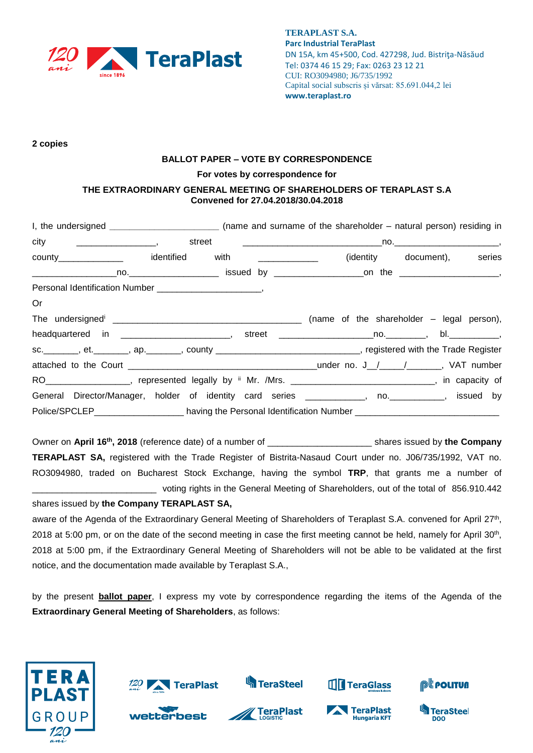

**2 copies** 

## **BALLOT PAPER – VOTE BY CORRESPONDENCE**

## **For votes by correspondence for**

## **THE EXTRAORDINARY GENERAL MEETING OF SHAREHOLDERS OF TERAPLAST S.A Convened for 27.04.2018/30.04.2018**

| I, the undersigned _______________________________ (name and surname of the shareholder – natural person) residing in |  |  |                             |  |
|-----------------------------------------------------------------------------------------------------------------------|--|--|-----------------------------|--|
|                                                                                                                       |  |  |                             |  |
| county________________   identified with ______________                                                               |  |  | (identity document), series |  |
|                                                                                                                       |  |  |                             |  |
|                                                                                                                       |  |  |                             |  |
| Or                                                                                                                    |  |  |                             |  |
|                                                                                                                       |  |  |                             |  |
|                                                                                                                       |  |  |                             |  |
| sc. ________, et. _______, ap. _______, county ______________________________, registered with the Trade Register     |  |  |                             |  |
|                                                                                                                       |  |  |                             |  |
| RO ___________________, represented legally by " Mr. /Mrs. ________________________________, in capacity of           |  |  |                             |  |
| General Director/Manager, holder of identity card series ____________, no. __________, issued by                      |  |  |                             |  |
| Police/SPCLEP___________________having the Personal Identification Number __________________________                  |  |  |                             |  |

Owner on April 16<sup>th</sup>, 2018 (reference date) of a number of \_\_\_\_\_\_\_\_\_\_\_\_\_\_\_\_\_\_\_\_\_\_\_\_ shares issued by the Company **TERAPLAST SA,** registered with the Trade Register of Bistrita-Nasaud Court under no. J06/735/1992, VAT no. RO3094980, traded on Bucharest Stock Exchange, having the symbol **TRP**, that grants me a number of \_\_\_\_\_\_\_\_\_\_\_\_\_\_\_\_\_\_\_\_\_\_\_\_\_ voting rights in the General Meeting of Shareholders, out of the total of 856.910.442 shares issued by **the Company TERAPLAST SA,**

aware of the Agenda of the Extraordinary General Meeting of Shareholders of Teraplast S.A. convened for April 27<sup>th</sup>, 2018 at 5:00 pm, or on the date of the second meeting in case the first meeting cannot be held, namely for April 30<sup>th</sup>, 2018 at 5:00 pm, if the Extraordinary General Meeting of Shareholders will not be able to be validated at the first notice, and the documentation made available by Teraplast S.A.,

by the present **ballot paper**, I express my vote by correspondence regarding the items of the Agenda of the **Extraordinary General Meeting of Shareholders**, as follows:





**best** 





**THE TeraGlass** 

TeraPlast

**Hungaria KFT** 



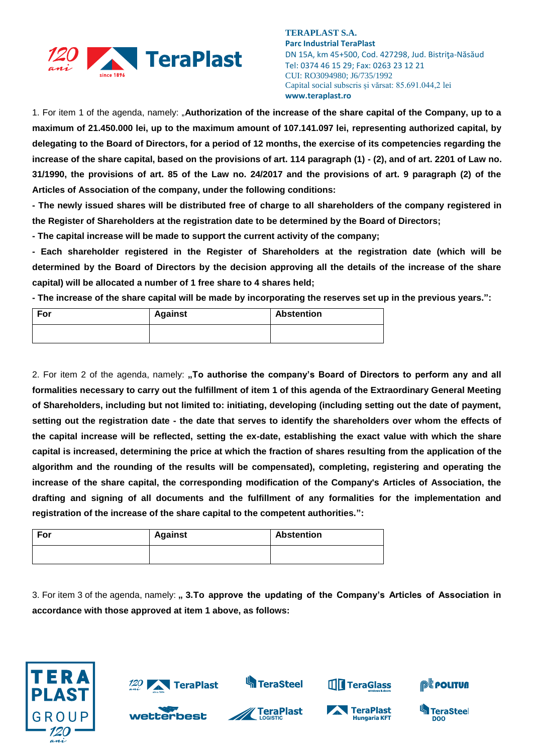

1. For item 1 of the agenda, namely: "**Authorization of the increase of the share capital of the Company, up to a maximum of 21.450.000 lei, up to the maximum amount of 107.141.097 lei, representing authorized capital, by delegating to the Board of Directors, for a period of 12 months, the exercise of its competencies regarding the increase of the share capital, based on the provisions of art. 114 paragraph (1) - (2), and of art. 2201 of Law no. 31/1990, the provisions of art. 85 of the Law no. 24/2017 and the provisions of art. 9 paragraph (2) of the Articles of Association of the company, under the following conditions:**

**- The newly issued shares will be distributed free of charge to all shareholders of the company registered in the Register of Shareholders at the registration date to be determined by the Board of Directors;**

**- The capital increase will be made to support the current activity of the company;**

**- Each shareholder registered in the Register of Shareholders at the registration date (which will be determined by the Board of Directors by the decision approving all the details of the increase of the share capital) will be allocated a number of 1 free share to 4 shares held;**

**- The increase of the share capital will be made by incorporating the reserves set up in the previous years.":**

| For | <b>Against</b> | <b>Abstention</b> |
|-----|----------------|-------------------|
|     |                |                   |

2. For item 2 of the agenda, namely: "To authorise the company's Board of Directors to perform any and all **formalities necessary to carry out the fulfillment of item 1 of this agenda of the Extraordinary General Meeting of Shareholders, including but not limited to: initiating, developing (including setting out the date of payment, setting out the registration date - the date that serves to identify the shareholders over whom the effects of the capital increase will be reflected, setting the ex-date, establishing the exact value with which the share capital is increased, determining the price at which the fraction of shares resulting from the application of the algorithm and the rounding of the results will be compensated), completing, registering and operating the increase of the share capital, the corresponding modification of the Company's Articles of Association, the drafting and signing of all documents and the fulfillment of any formalities for the implementation and registration of the increase of the share capital to the competent authorities.":**

| For | <b>Against</b> | <b>Abstention</b> |
|-----|----------------|-------------------|
|     |                |                   |

3. For item 3 of the agenda, namely: **" 3.To approve the updating of the Company's Articles of Association in accordance with those approved at item 1 above, as follows:**

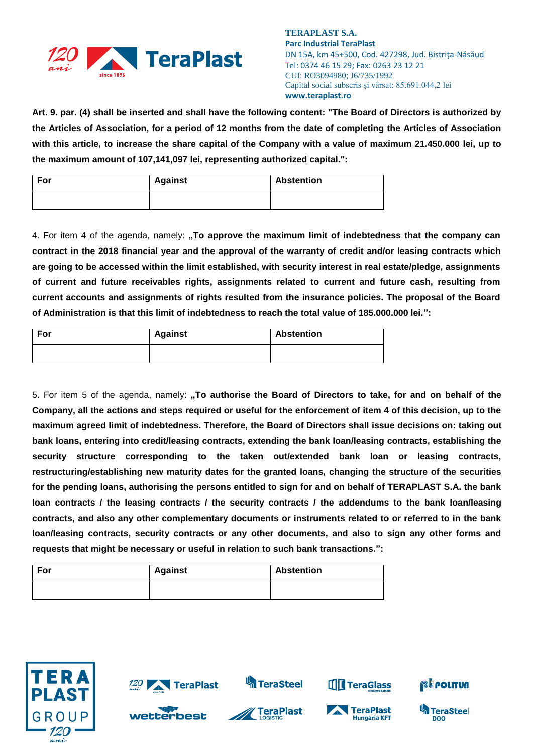

**Art. 9. par. (4) shall be inserted and shall have the following content: "The Board of Directors is authorized by the Articles of Association, for a period of 12 months from the date of completing the Articles of Association with this article, to increase the share capital of the Company with a value of maximum 21.450.000 lei, up to the maximum amount of 107,141,097 lei, representing authorized capital.":**

| For | <b>Against</b> | <b>Abstention</b> |
|-----|----------------|-------------------|
|     |                |                   |

4. For item 4 of the agenda, namely: **"To approve the maximum limit of indebtedness that the company can contract in the 2018 financial year and the approval of the warranty of credit and/or leasing contracts which are going to be accessed within the limit established, with security interest in real estate/pledge, assignments of current and future receivables rights, assignments related to current and future cash, resulting from current accounts and assignments of rights resulted from the insurance policies. The proposal of the Board of Administration is that this limit of indebtedness to reach the total value of 185.000.000 lei.":**

| For | <b>Against</b> | <b>Abstention</b> |
|-----|----------------|-------------------|
|     |                |                   |

5. For item 5 of the agenda, namely: "To authorise the Board of Directors to take, for and on behalf of the **Company, all the actions and steps required or useful for the enforcement of item 4 of this decision, up to the maximum agreed limit of indebtedness. Therefore, the Board of Directors shall issue decisions on: taking out bank loans, entering into credit/leasing contracts, extending the bank loan/leasing contracts, establishing the security structure corresponding to the taken out/extended bank loan or leasing contracts, restructuring/establishing new maturity dates for the granted loans, changing the structure of the securities for the pending loans, authorising the persons entitled to sign for and on behalf of TERAPLAST S.A. the bank loan contracts / the leasing contracts / the security contracts / the addendums to the bank loan/leasing contracts, and also any other complementary documents or instruments related to or referred to in the bank loan/leasing contracts, security contracts or any other documents, and also to sign any other forms and requests that might be necessary or useful in relation to such bank transactions.":**

| For | <b>Against</b> | <b>Abstention</b> |
|-----|----------------|-------------------|
|     |                |                   |





wetterbest







**TIT** TeraGlass



**TeraSteel** 

DOO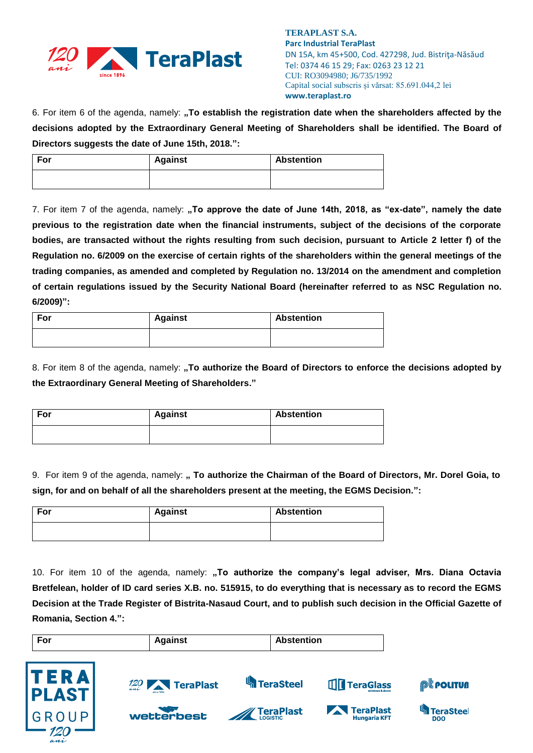

6. For item 6 of the agenda, namely: "To establish the registration date when the shareholders affected by the **decisions adopted by the Extraordinary General Meeting of Shareholders shall be identified. The Board of Directors suggests the date of June 15th, 2018.":**

| For | <b>Against</b> | <b>Abstention</b> |
|-----|----------------|-------------------|
|     |                |                   |

7. For item 7 of the agenda, namely: "To approve the date of June 14th, 2018, as "ex-date", namely the date **previous to the registration date when the financial instruments, subject of the decisions of the corporate bodies, are transacted without the rights resulting from such decision, pursuant to Article 2 letter f) of the Regulation no. 6/2009 on the exercise of certain rights of the shareholders within the general meetings of the trading companies, as amended and completed by Regulation no. 13/2014 on the amendment and completion of certain regulations issued by the Security National Board (hereinafter referred to as NSC Regulation no. 6/2009)":**

| For | <b>Against</b> | <b>Abstention</b> |
|-----|----------------|-------------------|
|     |                |                   |

8. For item 8 of the agenda, namely: "To authorize the Board of Directors to enforce the decisions adopted by **the Extraordinary General Meeting of Shareholders."**

| For | <b>Against</b> | <b>Abstention</b> |
|-----|----------------|-------------------|
|     |                |                   |

9. For item 9 of the agenda, namely: **" To authorize the Chairman of the Board of Directors, Mr. Dorel Goia, to sign, for and on behalf of all the shareholders present at the meeting, the EGMS Decision.":**

| For | <b>Against</b> | <b>Abstention</b> |
|-----|----------------|-------------------|
|     |                |                   |

10. For item 10 of the agenda, namely: **"To authorize the company's legal adviser, Mrs. Diana Octavia Bretfelean, holder of ID card series X.B. no. 515915, to do everything that is necessary as to record the EGMS Decision at the Trade Register of Bistrita-Nasaud Court, and to publish such decision in the Official Gazette of Romania, Section 4.":**